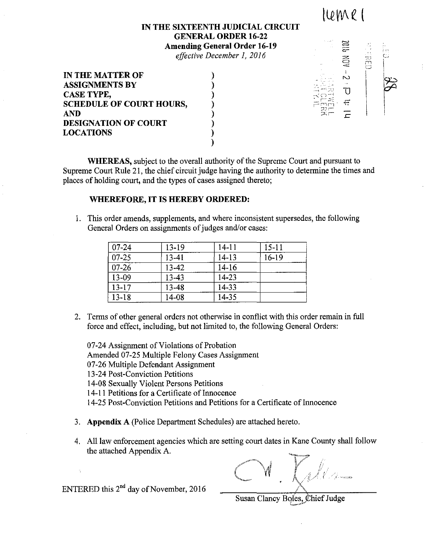| $l$ $l$ $l$ $l$ $l$ $l$ |  |  |
|-------------------------|--|--|
|-------------------------|--|--|

## **IN THE SIXTEENTH JUDICIAL CIRCUIT GENERAL ORDER 16-22 Amending General Order 16-19**

*effective December 1, 2016* 

| <b>IN THE MATTER OF</b>         |  |
|---------------------------------|--|
| <b>ASSIGNMENTS BY</b>           |  |
| <b>CASE TYPE,</b>               |  |
| <b>SCHEDULE OF COURT HOURS,</b> |  |
| AND                             |  |
| <b>DESIGNATION OF COURT</b>     |  |
| <b>LOCATIONS</b>                |  |
|                                 |  |

e<br>E  $\frac{6}{1}$ 

**WHEREAS,** subject to the overall authority of the Supreme Court and pursuant to Supreme Court Rule 21, the chief circuit judge having the authority to determine the times and places of holding court, and the types of cases assigned thereto;

)

## **WHEREFORE, IT IS HEREBY ORDERED:**

1. This order amends, supplements, and where inconsistent supersedes, the following General Orders on assignments of judges and/or cases:

| $07 - 24$ | $13 - 19$ | $14 - 11$ | $15 - 11$ |
|-----------|-----------|-----------|-----------|
| 07-25     | 13-41     | $14 - 13$ | $16-19$   |
| $07 - 26$ | 13-42     | $14-16$   |           |
| $13 - 09$ | 13-43     | $14 - 23$ |           |
| $13 - 17$ | 13-48     | 14-33     |           |
| $13 - 18$ | 14-08     | 14-35     |           |

2. Terms of other general orders not otherwise in conflict with this order remain in full force and effect, including, but not limited to, the following General Orders:

07-24 Assignment of Violations of Probation Amended 07-25 Multiple Felony Cases Assignment 07-26 Multiple Defendant Assigmnent 13-24 Post-Conviction Petitions 14-08 Sexually Violent Persons Petitions 14-11 Petitions for a Certificate of Innocence 14-25 Post-Conviction Petitions and Petitions for a Certificate of Innocence

- 3. **Appendix A** (Police Department Schedules) are attached hereto.
- 4. All law enforcement agencies which are setting court dates in Kane County shall follow the attached Appendix A.

ENTERED this  $2<sup>nd</sup>$  day of November, 2016

Susan Clancy Boles, Chief Judge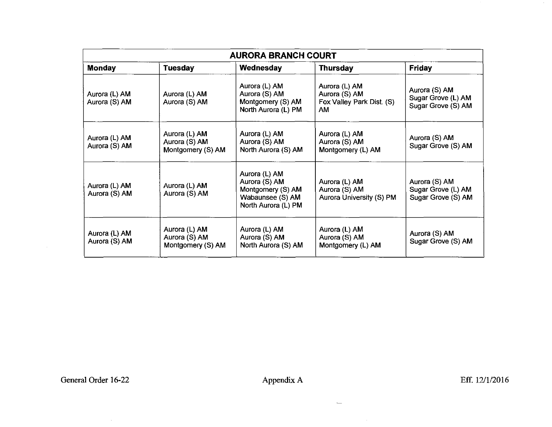| <b>AURORA BRANCH COURT</b>     |                                                     |                                                                                                |                                                                    |                                                           |
|--------------------------------|-----------------------------------------------------|------------------------------------------------------------------------------------------------|--------------------------------------------------------------------|-----------------------------------------------------------|
| <b>Monday</b>                  | Tuesday                                             | Wednesday                                                                                      | <b>Thursday</b>                                                    | <b>Friday</b>                                             |
| Aurora (L) AM<br>Aurora (S) AM | Aurora (L) AM<br>Aurora (S) AM                      | Aurora (L) AM<br>Aurora (S) AM<br>Montgomery (S) AM<br>North Aurora (L) PM                     | Aurora (L) AM<br>Aurora (S) AM<br>Fox Valley Park Dist. (S)<br>AM. | Aurora (S) AM<br>Sugar Grove (L) AM<br>Sugar Grove (S) AM |
| Aurora (L) AM<br>Aurora (S) AM | Aurora (L) AM<br>Aurora (S) AM<br>Montgomery (S) AM | Aurora (L) AM<br>Aurora (S) AM<br>North Aurora (S) AM                                          | Aurora (L) AM<br>Aurora (S) AM<br>Montgomery (L) AM                | Aurora (S) AM<br>Sugar Grove (S) AM                       |
| Aurora (L) AM<br>Aurora (S) AM | Aurora (L) AM<br>Aurora (S) AM                      | Aurora (L) AM<br>Aurora (S) AM<br>Montgomery (S) AM<br>Wabaunsee (S) AM<br>North Aurora (L) PM | Aurora (L) AM<br>Aurora (S) AM<br>Aurora University (S) PM         | Aurora (S) AM<br>Sugar Grove (L) AM<br>Sugar Grove (S) AM |
| Aurora (L) AM<br>Aurora (S) AM | Aurora (L) AM<br>Aurora (S) AM<br>Montgomery (S) AM | Aurora (L) AM<br>Aurora (S) AM<br>North Aurora (S) AM                                          | Aurora (L) AM<br>Aurora (S) AM<br>Montgomery (L) AM                | Aurora (S) AM<br>Sugar Grove (S) AM                       |

 $\sim$ 

 $\overline{\phantom{m}}$ 

 $\sim$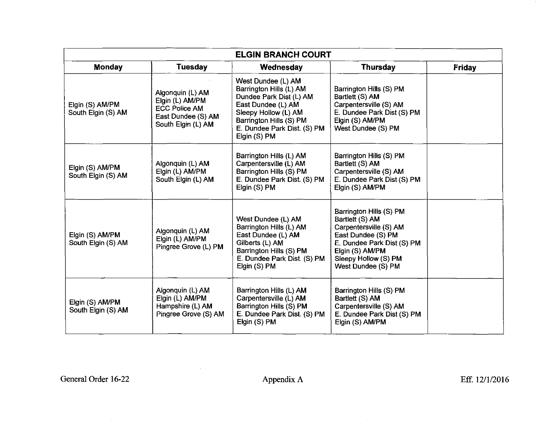| <b>ELGIN BRANCH COURT</b>             |                                                                                                         |                                                                                                                                                                                                  |                                                                                                                                                                                           |               |
|---------------------------------------|---------------------------------------------------------------------------------------------------------|--------------------------------------------------------------------------------------------------------------------------------------------------------------------------------------------------|-------------------------------------------------------------------------------------------------------------------------------------------------------------------------------------------|---------------|
| <b>Monday</b>                         | <b>Tuesday</b>                                                                                          | Wednesday                                                                                                                                                                                        | <b>Thursday</b>                                                                                                                                                                           | <b>Friday</b> |
| Elgin (S) AM/PM<br>South Elgin (S) AM | Algonquin (L) AM<br>Elgin (L) AM/PM<br><b>ECC Police AM</b><br>East Dundee (S) AM<br>South Elgin (L) AM | West Dundee (L) AM<br>Barrington Hills (L) AM<br>Dundee Park Dist (L) AM<br>East Dundee (L) AM<br>Sleepy Hollow (L) AM<br>Barrington Hills (S) PM<br>E. Dundee Park Dist. (S) PM<br>Elgin (S) PM | Barrington Hills (S) PM<br>Bartlett (S) AM<br>Carpentersville (S) AM<br>E. Dundee Park Dist (S) PM<br>Eigin (S) AM/PM<br>West Dundee (S) PM                                               |               |
| Elgin (S) AM/PM<br>South Elgin (S) AM | Algonquin (L) AM<br>Elgin (L) AM/PM<br>South Elgin (L) AM                                               | Barrington Hills (L) AM<br>Carpentersville (L) AM<br>Barrington Hills (S) PM<br>E. Dundee Park Dist. (S) PM<br>Elgin (S) PM                                                                      | Barrington Hills (S) PM<br>Bartlett (S) AM<br>Carpentersville (S) AM<br>E. Dundee Park Dist (S) PM<br>Elgin (S) AM/PM                                                                     |               |
| Elgin (S) AM/PM<br>South Elgin (S) AM | Algonquin (L) AM<br>Elgin (L) AM/PM<br>Pingree Grove (L) PM                                             | West Dundee (L) AM<br>Barrington Hills (L) AM<br>East Dundee (L) AM<br>Gilberts (L) AM<br>Barrington Hills (S) PM<br>E. Dundee Park Dist. (S) PM<br>Elgin (S) PM                                 | Barrington Hills (S) PM<br>Bartlett (S) AM<br>Carpentersville (S) AM<br>East Dundee (S) PM<br>E. Dundee Park Dist (S) PM<br>Elgin (S) AM/PM<br>Sleepy Hollow (S) PM<br>West Dundee (S) PM |               |
| Elgin (S) AM/PM<br>South Elgin (S) AM | Algonquin (L) AM<br>Elgin (L) AM/PM<br>Hampshire (L) AM<br>Pingree Grove (S) AM                         | Barrington Hills (L) AM<br>Carpentersville (L) AM<br>Barrington Hills (S) PM<br>E. Dundee Park Dist. (S) PM<br>Elgin (S) PM                                                                      | Barrington Hills (S) PM<br>Bartlett (S) AM<br>Carpentersville (S) AM<br>E. Dundee Park Dist (S) PM<br>Elgin (S) AM/PM                                                                     |               |

 $\sim 10^7$ 

 $\sim 10^6$ 

 $\sim 10^{-10}$